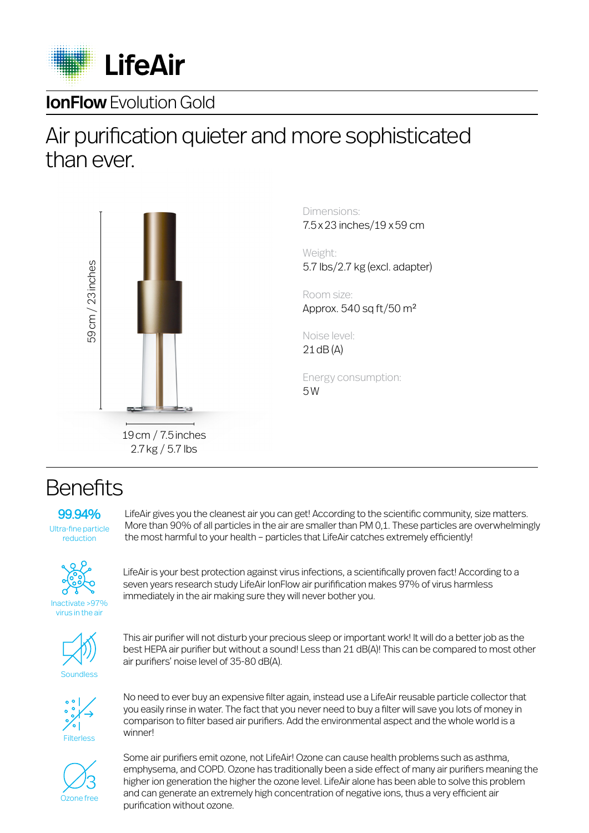

#### **IonFlow** Evolution Gold

## Air purification quieter and more sophisticated than ever.



Dimensions: 7.5x23 inches/19 x59 cm

Weight: 5.7 lbs/2.7 kg (excl. adapter)

Room size: Approx.  $540$  sq ft/ $50$  m<sup>2</sup>

Noise level: 21dB (A)

Energy consumption: 5W

19cm / 7.5inches 2.7kg / 5.7 lbs

#### **Benefits**

99.94% Ultra-fine particle reduction

LifeAir gives you the cleanest air you can get! According to the scientific community, size matters. More than 90% of all particles in the air are smaller than PM 0,1. These particles are overwhelmingly the most harmful to your health – particles that LifeAir catches extremely efficiently!



Inactivate >97% virus in the air

LifeAir is your best protection against virus infections, a scientifically proven fact! According to a seven years research study LifeAir IonFlow air purifification makes 97% of virus harmless immediately in the air making sure they will never bother you.



This air purifier will not disturb your precious sleep or important work! It will do a better job as the best HEPA air purifier but without a sound! Less than 21 dB(A)! This can be compared to most other air purifiers' noise level of 35-80 dB(A).



No need to ever buy an expensive filter again, instead use a LifeAir reusable particle collector that you easily rinse in water. The fact that you never need to buy a filter will save you lots of money in comparison to filter based air purifiers. Add the environmental aspect and the whole world is a winner!



Some air purifiers emit ozone, not LifeAir! Ozone can cause health problems such as asthma, emphysema, and COPD. Ozone has traditionally been a side effect of many air purifiers meaning the higher ion generation the higher the ozone level. LifeAir alone has been able to solve this problem and can generate an extremely high concentration of negative ions, thus a very efficient air purification without ozone.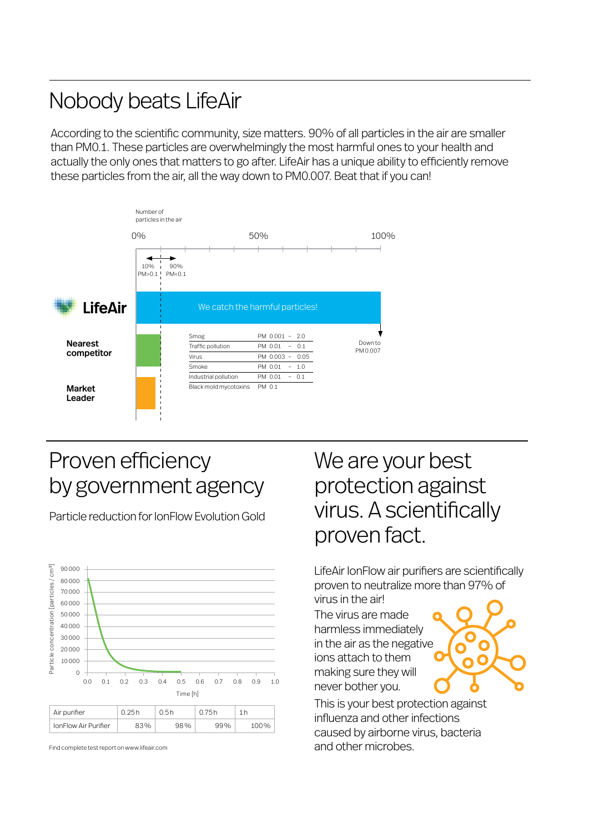# Nobody beats LifeAir

According to the scientific community, size matters. 90% of all particles in the air are smaller than PM0.1. These particles are overwhelmingly the most harmful ones to your health and actually the only ones that matters to go after. LifeAir has a unique ability to efficiently remove these particles from the air, all the way down to PM0.007. Beat that if you can!



# Proven efficiency by government agency

Particle reduction for IonFlow Evolution Gold



Find complete test report on www.lifeair.com

# We are your best protection against virus. A scientifically proven fact.

LifeAir IonFlow air purifiers are scientifically proven to neutralize more than 97% of virus in the air!

The virus are made harmless immediately in the air as the negative ions attach to them making sure they will never bother you.



This is your best protection against influenza and other infections caused by airborne virus, bacteria and other microbes.